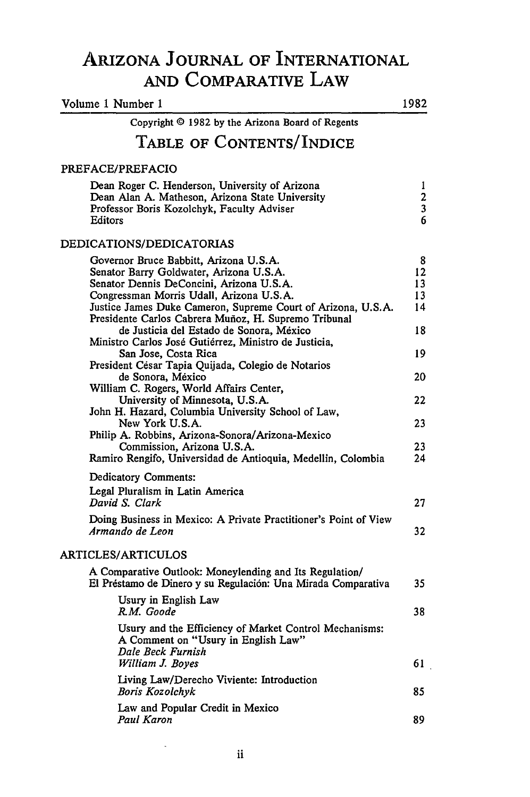# **ARIZONA JOURNAL** OF INTERNATIONAL **AND** COMPARATIVE LAW

| Volume 1 Number 1                                                                                                                                                                                                                                                                                                                                                                                                                                                                                                                                                                                                                                                                                                                                                                                                   |                                                                     |
|---------------------------------------------------------------------------------------------------------------------------------------------------------------------------------------------------------------------------------------------------------------------------------------------------------------------------------------------------------------------------------------------------------------------------------------------------------------------------------------------------------------------------------------------------------------------------------------------------------------------------------------------------------------------------------------------------------------------------------------------------------------------------------------------------------------------|---------------------------------------------------------------------|
| Copyright © 1982 by the Arizona Board of Regents                                                                                                                                                                                                                                                                                                                                                                                                                                                                                                                                                                                                                                                                                                                                                                    |                                                                     |
| TABLE OF CONTENTS/INDICE                                                                                                                                                                                                                                                                                                                                                                                                                                                                                                                                                                                                                                                                                                                                                                                            |                                                                     |
| PREFACE/PREFACIO                                                                                                                                                                                                                                                                                                                                                                                                                                                                                                                                                                                                                                                                                                                                                                                                    |                                                                     |
| Dean Roger C. Henderson, University of Arizona<br>Dean Alan A. Matheson, Arizona State University<br>Professor Boris Kozolchyk, Faculty Adviser<br>Editors                                                                                                                                                                                                                                                                                                                                                                                                                                                                                                                                                                                                                                                          | 1<br>$\begin{array}{c} 2 \\ 3 \\ 6 \end{array}$                     |
| DEDICATIONS/DEDICATORIAS                                                                                                                                                                                                                                                                                                                                                                                                                                                                                                                                                                                                                                                                                                                                                                                            |                                                                     |
| Governor Bruce Babbitt, Arizona U.S.A.<br>Senator Barry Goldwater, Arizona U.S.A.<br>Senator Dennis DeConcini, Arizona U.S.A.<br>Congressman Morris Udall, Arizona U.S.A.<br>Justice James Duke Cameron, Supreme Court of Arizona, U.S.A.<br>Presidente Carlos Cabrera Muñoz, H. Supremo Tribunal<br>de Justicia del Estado de Sonora, México<br>Ministro Carlos José Gutiérrez, Ministro de Justicia,<br>San Jose, Costa Rica<br>President César Tapia Quijada, Colegio de Notarios<br>de Sonora, México<br>William C. Rogers, World Affairs Center,<br>University of Minnesota, U.S.A.<br>John H. Hazard, Columbia University School of Law,<br>New York U.S.A.<br>Philip A. Robbins, Arizona-Sonora/Arizona-Mexico<br>Commission, Arizona U.S.A.<br>Ramiro Rengifo, Universidad de Antioquia, Medellin, Colombia | 8<br>12<br>13<br>13<br>14<br>18<br>19<br>20<br>22<br>23<br>23<br>24 |
| Dedicatory Comments:<br>Legal Pluralism in Latin America<br>David S. Clark                                                                                                                                                                                                                                                                                                                                                                                                                                                                                                                                                                                                                                                                                                                                          | 27                                                                  |
| Doing Business in Mexico: A Private Practitioner's Point of View<br>Armando de Leon                                                                                                                                                                                                                                                                                                                                                                                                                                                                                                                                                                                                                                                                                                                                 | 32                                                                  |
| ARTICLES/ARTICULOS                                                                                                                                                                                                                                                                                                                                                                                                                                                                                                                                                                                                                                                                                                                                                                                                  |                                                                     |
| A Comparative Outlook: Moneylending and Its Regulation/<br>El Préstamo de Dinero y su Regulación: Una Mirada Comparativa<br>Usury in English Law<br>R.M. Goode                                                                                                                                                                                                                                                                                                                                                                                                                                                                                                                                                                                                                                                      | 35<br>38                                                            |
| Usury and the Efficiency of Market Control Mechanisms:<br>A Comment on "Usury in English Law"<br>Dale Beck Furnish<br>William J. Boyes                                                                                                                                                                                                                                                                                                                                                                                                                                                                                                                                                                                                                                                                              | 61                                                                  |
| Living Law/Derecho Viviente: Introduction<br>Boris Kozolchyk                                                                                                                                                                                                                                                                                                                                                                                                                                                                                                                                                                                                                                                                                                                                                        | 85                                                                  |
| Law and Popular Credit in Mexico<br>Paul Karon                                                                                                                                                                                                                                                                                                                                                                                                                                                                                                                                                                                                                                                                                                                                                                      | 89                                                                  |

 $\ddot{\phantom{0}}$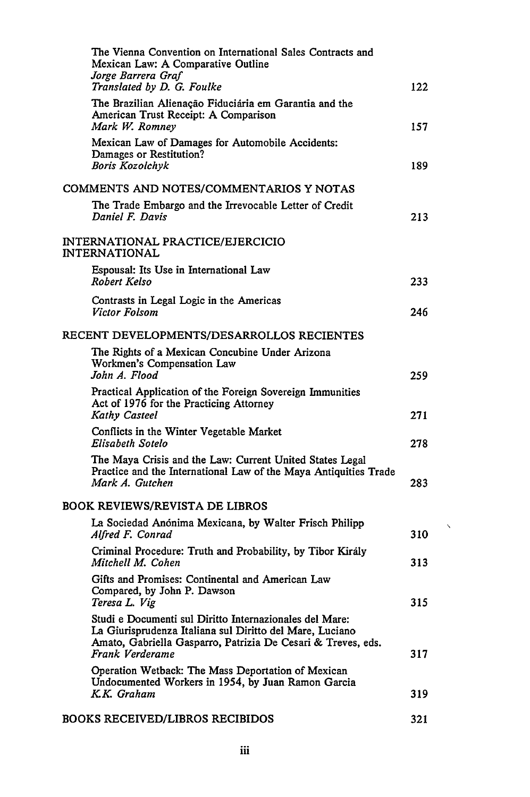|                                                   | The Vienna Convention on International Sales Contracts and<br>Mexican Law: A Comparative Outline<br>Jorge Barrera Graf                                                                                 |     |
|---------------------------------------------------|--------------------------------------------------------------------------------------------------------------------------------------------------------------------------------------------------------|-----|
|                                                   | Translated by D. G. Foulke                                                                                                                                                                             | 122 |
|                                                   | The Brazilian Alienação Fiduciária em Garantia and the<br>American Trust Receipt: A Comparison<br>Mark W. Romney                                                                                       | 157 |
|                                                   | Mexican Law of Damages for Automobile Accidents:<br>Damages or Restitution?<br>Boris Kozolchyk                                                                                                         | 189 |
| COMMENTS AND NOTES/COMMENTARIOS Y NOTAS           |                                                                                                                                                                                                        |     |
|                                                   | The Trade Embargo and the Irrevocable Letter of Credit<br>Daniel F. Davis                                                                                                                              | 213 |
| INTERNATIONAL PRACTICE/EJERCICIO<br>INTERNATIONAL |                                                                                                                                                                                                        |     |
|                                                   | Espousal: Its Use in International Law<br>Robert Kelso                                                                                                                                                 | 233 |
|                                                   | Contrasts in Legal Logic in the Americas<br>Victor Folsom                                                                                                                                              | 246 |
| RECENT DEVELOPMENTS/DESARROLLOS RECIENTES         |                                                                                                                                                                                                        |     |
|                                                   | The Rights of a Mexican Concubine Under Arizona<br>Workmen's Compensation Law<br>John A. Flood                                                                                                         | 259 |
|                                                   | Practical Application of the Foreign Sovereign Immunities<br>Act of 1976 for the Practicing Attorney<br><b>Kathy Casteel</b>                                                                           | 271 |
|                                                   | Conflicts in the Winter Vegetable Market<br>Elisabeth Sotelo                                                                                                                                           | 278 |
|                                                   | The Maya Crisis and the Law: Current United States Legal<br>Practice and the International Law of the Maya Antiquities Trade<br>Mark A. Gutchen                                                        | 283 |
| BOOK REVIEWS/REVISTA DE LIBROS                    |                                                                                                                                                                                                        |     |
|                                                   | La Sociedad Anónima Mexicana, by Walter Frisch Philipp<br>Alfred F. Conrad                                                                                                                             | 310 |
|                                                   | Criminal Procedure: Truth and Probability, by Tibor Király<br>Mitchell M. Cohen                                                                                                                        | 313 |
|                                                   | Gifts and Promises: Continental and American Law<br>Compared, by John P. Dawson<br>Teresa L. Vig                                                                                                       | 315 |
|                                                   | Studi e Documenti sul Diritto Internazionales del Mare:<br>La Giurisprudenza Italiana sul Diritto del Mare, Luciano<br>Amato, Gabriella Gasparro, Patrizia De Cesari & Treves, eds.<br>Frank Verderame | 317 |
|                                                   | Operation Wetback: The Mass Deportation of Mexican<br>Undocumented Workers in 1954, by Juan Ramon Garcia<br>K.K. Graham                                                                                | 319 |
|                                                   |                                                                                                                                                                                                        |     |
|                                                   | <b>BOOKS RECEIVED/LIBROS RECIBIDOS</b>                                                                                                                                                                 | 321 |

 $\bar{\mathbf{v}}$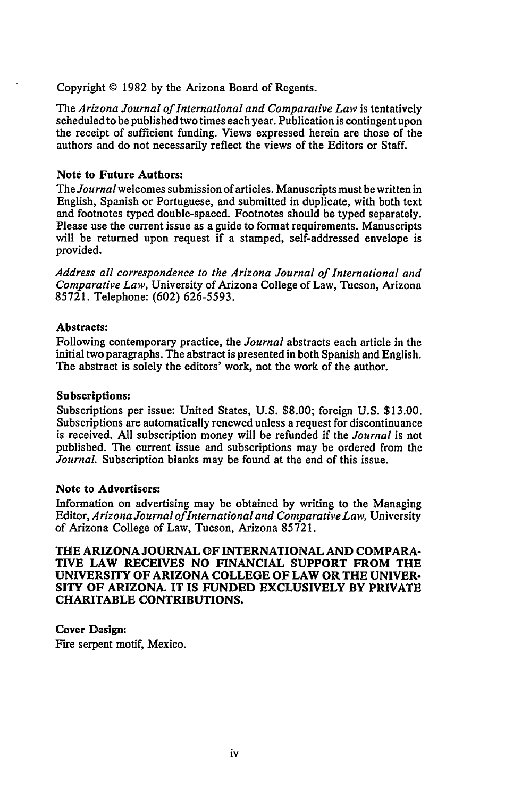Copyright **©** 1982 **by** the Arizona Board of Regents.

*The Arizona Journal of International and Comparative Law* is tentatively scheduled to be published two times each year. Publication is contingent upon the receipt of sufficient funding. Views expressed herein are those of the authors and do not necessarily reflect the views of the Editors or Staff.

### **Note to Future Authors:**

The *Journal* welcomes submission of articles. Manuscripts must be written in English, Spanish or Portuguese, and submitted in duplicate, with both text and footnotes typed double-spaced. Footnotes should be typed separately. Please use the current issue as a guide to format requirements. Manuscripts will be returned upon request if a stamped, self-addressed envelope is provided.

*Address all correspondence to the Arizona Journal of International and Comparative Law,* University of Arizona College of Law, Tucson, Arizona 85721. Telephone: (602) 626-5593.

### **Abstracts:**

Following contemporary practice, the *Journal* abstracts each article in the initial two paragraphs. The abstract is presented in both Spanish and English. The abstract is solely the editors' work, not the work of the author.

#### **Subscriptions:**

Subscriptions per issue: United States, **U.S. \$8.00;** foreign **U.S. \$13.00.** Subscriptions are automatically renewed unless a request for discontinuance is received. **All** subscription money will be refunded if the *Journal* is not published. The current issue and subscriptions may be ordered from the *Journal.* Subscription blanks may be found at the end of this issue.

#### **Note to Advertisers:**

Information on advertising may be obtained **by** writing to the Managing Editor, *Arizona Journal ofInternational and Comparative Law,* University of Arizona College of Law, Tucson, Arizona **85721.**

**THE ARIZONA JOURNAL OF INTERNATIONAL AND COMPARA-TIVE LAW RECEIVES NO FINANCIAL SUPPORT FROM THE UNIVERSITY OF ARIZONA COLLEGE OF LAW OR THE UNIVER-SITY OF ARIZONA. IT IS FUNDED EXCLUSIVELY BY PRIVATE CHARITABLE CONTRIBUTIONS.**

**Cover Design:** Fire serpent motif, Mexico.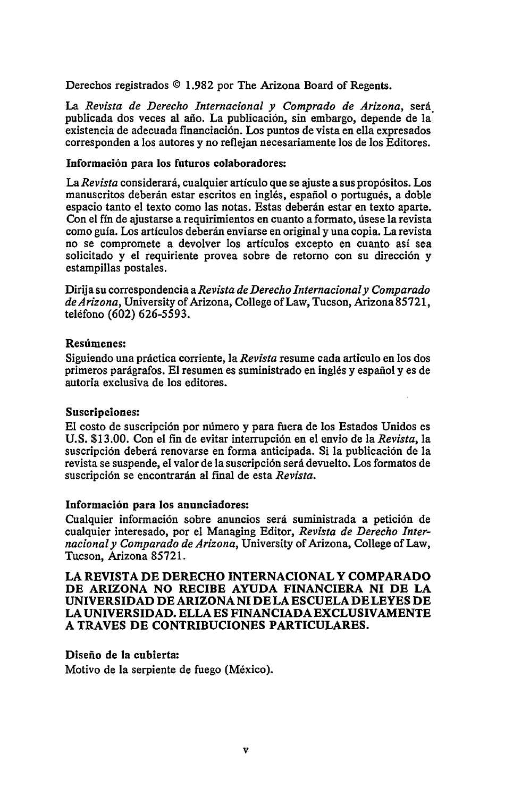Derechos registrados **© 1.982** por The Arizona Board of Regents.

La Revista de Derecho Internacional y Comprado de Arizona, será publicada dos veces al año. La publicación, sin embargo, depende de la existencia de adecuada financiaci6n. Los puntos de vista en ella expresados corresponden a los autores y no reflejan necesariamente los de los Editores.

#### Información para los futuros colaboradores:

*La Revista* considerard, cualquier articulo que se ajuste a sus prop6sitos. Los manuscritos deberán estar escritos en inglés, español o portugués, a doble espacio tanto el texto como las notas. Estas deberán estar en texto aparte. Con el fin de ajustarse a requirimientos en cuanto a formato, disese la revista como guia. Los articulos deberdn enviarse en original y una copia. La revista no se compromete a devolver los articulos excepto en cuanto asi sea solicitado y el requiriente provea sobre de retorno con su dirección y estampillas postales.

Dirija su correspondencia *aRevista de Derecho Internacionaly Comparado deArizona,* University of Arizona, College of Law, Tucson, Arizona 85721, teléfono (602) 626-5593.

#### Resdmenes:

Siguiendo una práctica corriente, la *Revista* resume cada articulo en los dos primeros parágrafos. El resumen es suministrado en inglés y español y es de autoria exclusiva de los editores.

#### Suscripelones:

**El** costo de suscripci6n por nimero **y** para fuera de los Estados Unidos es U.S. \$13.00. Con el fin de evitar interrupción en el envio de la *Revista*, la suscripción deberá renovarse en forma anticipada. Si la publicación de la revista se suspende, el valor de la suscripción será devuelto. Los formatos de suscripción se encontrarán al final de esta *Revista*.

#### Información para los anunciadores:

Cualquier información sobre anuncios será suministrada a petición de cualquier interesado, por el Managing Editor, *Revista de Derecho Internacionaly Comparado de Arizona,* University of Arizona, College of Law, Tucson, Arizona **85721.**

**LA REVISTA DE DERECHO INTERNACIONAL Y COMPARADO DE ARIZONA NO RECIBE AYUDA FINANCIERA NI DE LA UNIVERSIDAD DE ARIZONA NI DE LA ESCUELA DE LEYES DE LA UNIVERSIDAD. ELLA ES FINANCIADA EXCLUSIVAMENTE A TRAVES DE CONTRIBUCIONES PARTICULARES.**

#### **Disefio de la cubierta:**

Motivo de la serpiente de fuego (México).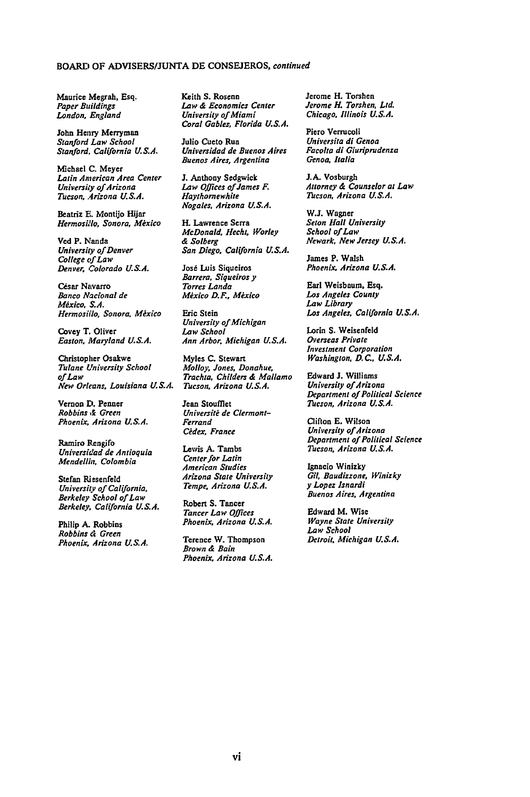#### BOARD OF ADVISERS/JUNTA **DE CONSEJEROS,** continued

Maurice Megrah, Esq. Paper Buildings London, England

John Henry Merryman Stanford *Law* School *Stanford.* Caliornia **U.S.A.**

Michael **C.** Meyer Latin American Area Center University of Arizona *Tucson, Arizona U.S.A.*

Beatriz **E.** Montijo **Hijar** *Hermosillo, Sonora, Mexico*

**Ved** P. Nanda *University of Denver* College *of* Law Denver. Colorado **U.S.A.**

César Navarro Banco Nacional de *Mxico* **S.A. Hermosillo, Sonora, México** 

Covey T. Oliver Easton, Maryland *U.S.A.*

Christopher Osakwe Tulane University School *of Law New* Orleans, *Louisiana* U.S.A.

Vernon **D.** Penner *Robbins & Green* Phoenix. Arizona **U.S.A.**

Ramiro Pengifo *Universidad de Antioquia* Mendellin, Colombia

Stefan Riesenfeld *University of California, Berkeley School of Law* Berkeley, California U.S.A.

Philip **A.** Robbins *Robbins d Green Phoenix, Arizona U.S.A.* Keith **S.** Rosenn *Law & Economics Center University of Miami* Coral Gables, Florida **U.S.A.**

Julio Cueto Rua Universidad de Buenos Aires Buenos Aires, Argentina

**J.** Anthony Sedgwick *Law* Offices of James F. Haythornewhite Nogales, Arizona **U.S.A.**

**IL** Lawrence Serra McDonald. Hecht, Worley **&** Solberg San Diego, *California* **U.S.A.**

José Luis Siqueiros Barrera, Siqueiros *y* Torres Landa Mėxico D.F., Mėxico

Eric Stein *University* of Michigan *Law* School Ann Arbor. Michigan **U.S.A.**

Myles **C.** Stewart Molloy. Jones, Donahue, *Trachta,* Childers **&** Mallamo Tucson, Arizona **U.S.A.**

Jean Stoufflet Université de Clermont-Ferrand *Cidex,* France

Lewis **A.** Tambs Center for Latin American Studies Arizona State University Tempe, Arizona U.S.A.

Robert **S.** Tancer *Tancer* Law Offices Phoenix, Arizona U.S.A.

Terence W. Thompson Brown & Bain Phoenix, Arizona U.S.A. Jerome H. Torshen Jerome H. Torshen, Ltd. Chicago, Illinois U.S.A.

Piero Verrucoli Universita di Genoa Facolta di Giuriprudenza Genoa, Italia

**J.A.** Vosburgh Attorney **&** Counselor at Law *Thcson,* Arizona **U.S.A.**

**W.J.** Wagner *Seton* Hall University School of *Law* Newark, New *Jersey* **U.S.A.**

James P. Walsh Phoenix. Arizona U.S.A.

Earl Weisbaum, Esq. Los Angeles County *Law* Library *LOs* Angeles, California **U.S.A.**

Lorin **S.** Weisenfeld Overseas Private Investment Corporation Washington. **D.C., U.S.A.**

Edward **J.** Williams University of Arizona Department of *Political* Science *Tucson,* Arizona **U.S.A.**

Clifton **E.** Wilson University of Arizona Department of Political Science Tucson. Arizona **U.S.A.**

Ignacio Winizky Gil, Baudizzone, Winizky **y** Lopez Isnardi Buenos Aires, Argentina

Edward M. Wise Wayne State University Law School Detroit, Michigan U.S.A.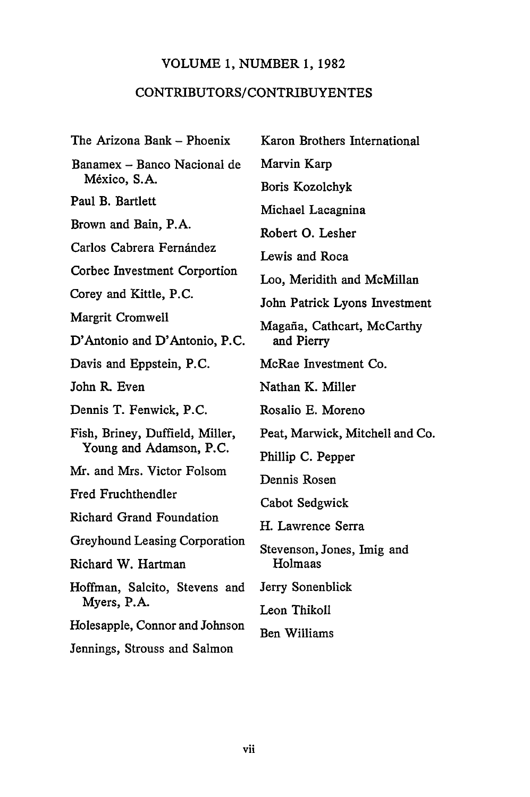### VOLUME 1, NUMBER 1, 1982

# CONTRIBUTORS/CONTRIBUYENTES

The Arizona Bank - Phoenix Banamex - Banco Nacional de México, S.A. Paul B. Bartlett Brown and Bain, P.A. Carlos Cabrera Fernández Corbec Investment Corportion Corey and Kittle, P.C. Margrit Cromwell D'Antonio and D'Antonio, P.C. Davis and Eppstein, P.C. John R. Even Dennis T. Fenwick, P.C. Fish, Briney, Duffield, Miller, Young and Adamson, P.C. Mr. and Mrs. Victor Folsom Fred Fruchthendler Richard Grand Foundation Greyhound Leasing Corporation Richard W. Hartman Hoffman, Salcito, Stevens and Myers, P.A. Holesapple, Connor and Johnson Jennings, Strouss and Salmon

Karon Brothers International Marvin Karp Boris Kozolchyk Michael Lacagnina Robert **0.** Lesher Lewis and Roca Loo, Meridith and McMillan John Patrick Lyons Investment Magafia, Cathcart, McCarthy and Pierry McRae Investment Co. Nathan K. Miller Rosalio **E.** Moreno Peat, Marwick, Mitchell and Co. Phillip **C.** Pepper Dennis Rosen Cabot Sedgwick H. Lawrence Serra Stevenson, Jones, Imig and Holmaas Jerry Sonenblick Leon Thikoll Ben Williams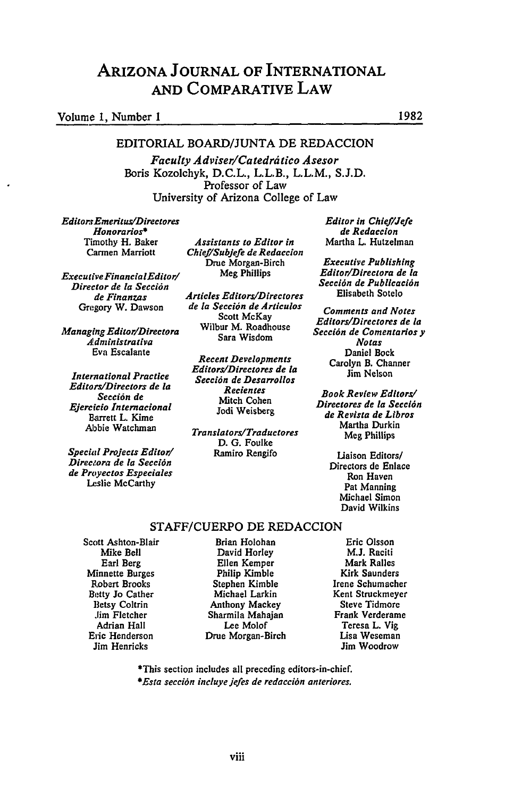# ARIZONA **JOURNAL** OF INTERNATIONAL **AND** COMPARATIVE LAW

# Volume **1,** Number **1 1982**

#### EDITORIAL BOARD/JUNTA DE REDACCION

*Faculty Adviser/Catedritico Asesor* Boris Kozolchyk, **D.C.L.,** L.L.B., L.L.M., **S.J.D.** Professor of Law University of Arizona College of Law

*EditorrEmeritus/Directores Honorarios\** Timothy H. Baker Carmen Marriott

*Executive FinancialEditorl Director de la Secci6n de Finanzas* Gregory W. Dawson

*Managing Editor/Directora Administrativa* Eva Escalante

*International Practice Editors/Directors de la Seccion de Ejercfcio Internacional* BEarrett L. Kime Abbie Watchman

*Special Projects Editor! Direceora de la Secci6n de Proyectos Especiales* Leslie McCarthy

*Assistants to Editor in Chief/Subjefe de Redaccion* Drue Morgan-Birch Meg Phillips

*Articles Editors/Directores de la Secci6n de Articulos* Scott McKay Wilbur M. Roadhouse Sara Wisdom

*Recent Developments EditorsiDirectores de [a Secci6n de Desarrollos Recientes* Mitch Cohen Jodi Weisberg

*Translators/Traductores* **D. G.** Foulke Ramiro Rengifo

*Editor in Chief/Jefe de Redaccion* Martha **L.** Hutzelman

*Executive Publishing Editor/Directora de ia Secci6n de Publicaci6n* Elisabeth Sotelo

*Comments and Notes Editors/Directores de la Secci6n de Comentarios y Notas* Daniel Bock Carolyn B. Channer Jim Nelson

*Book Review Editors/ Directores de la Seccl6n de Revista de Libros* Martha Durkin **Meg** Phillips

> Liaison Editors/ Directors de Enlace Ron Haven Pat Manning Michael Simon David Wilkins

#### STAFF/CUERPO **DE** REDACCION

Scott Ashton-Blair Mike Bell Earl Berg Minnette Burges Robert Brooks Betty **Jo** Cather Betsy Coltrin **Jim** Fletcher Adrian Hall Eric Henderson Jim Henricks

Brian Holohan David Horley Ellen Kemper Philip Kimble Stephen Kimble Michael Larkin Anthony Mackey Sharmila Mahajan Lee Molof Drue Morgan-Birch

Eric Olsson **M.J.** Raciti Mark Ralles Kirk Saunders Irene Schumacher Kent Struckmeyer Steve Tidmore Frank Verderame Teresa L. Vig Lisa Weseman Jim Woodrow

**\*This** section includes all preceding editors-in-chief.

*\*Esta secci6n incluye jefes de redaccidn anteriores.*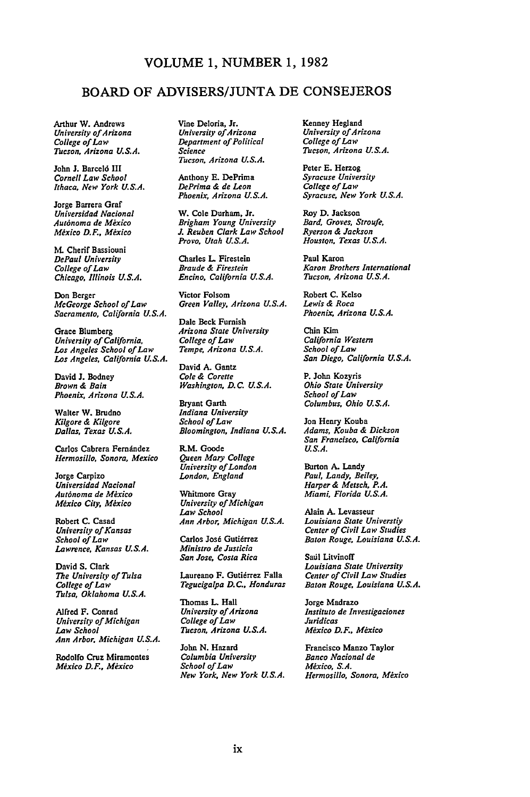### **VOLUME 1, NUMBER 1, 1982**

### BOARD OF **ADVISERS/JUNTA DE CONSEJEROS**

Arthur W. Andrews *University of Arizona College of Law Tucson, Arizona U.S.A.*

John **J.** Barcel6 III *Cornell Law School Ithaca, New York U.S.A.*

Jorge Barrera Graf *Universidad Nacional Aut6noma de Mexico Mexico D.F., Mexico*

**M. Cherif** Bassiouni *DePaul University College of Law Chicago, Illinois U.S.A.*

Don Berger *McGeorge School of Law Sacramento, California U.S.A.*

Grace Blumberg *University of California, Los Angeles School of Law Los Angeles. California U.S.A.*

David **J.** Bodney *Brown & Bain Phoenix, Arizona U.S.A.*

Walter W. Brudno *Kilgore & Kilgore Dallas, Texas U.S.A.*

Carlos Cabrera Fernández *Hermosillo, Sonora, Mexico*

Jorge Carpizo *Universidad Nacional Autdnoma de Mexico Mexico City, Mexico*

Robert **C.** Casad *University of Kansas School of Law Lawrence, Kansas U.S.A.*

David **S.** Clark *The University of Tulsa College of Law Tulsa, Oklahoma U.S.A.*

Alfred F. Conrad *University of Michigan Law School Ann Arbor, Michigan U.S.A.*

Rodolfo Cruz Miramontes *Mexico D.F., Mexico*

Vine Deloria, Jr. *University ofArizona Department of Political Science Tucson, Arizona U.S.A.*

Anthony **E.** DePrima *DePrima & de Leon Phoenix, Arizona U.S.A.*

W. Cole Durham, Jr. *Brigham Young University J. Reuben Clark Law School Provo, Utah U.S.A.*

Charles L Firestein *Braude & Firestein Encino, California U.S.A.*

Victor Folsom *Green Valley, Arizona U.S.A.*

Dale Beck Furnish *Arizona State University College ofLaw Tempe. Arizona U.S.A.*

David **A.** Gantz *Cole & Corette Washington, D.C. U.S.A.*

Bryant Garth *Indiana University School of Law Bloomington, Indiana U.S.A.*

R.M. Goode *Queen Mary College University of London London. England*

Whitmore Gray *University of Michigan Law School Ann Arbor, Michigan U.S.A.*

Carlos José Gutiérrez *Ministro de Justicia San Jose, Costa Rica*

Laureano F. Gutiérrez Falla *Tegucigalpa D.C.. Honduras*

Thomas L. Hall *University of Arizona College of Law Tucson, Arizona U.S.A.*

John **N.** Hazard *Columbia University School of Law New York, New York U.S.A.* Kenney Hegland *University of Arizona College ofLaw Tucson, Arizona U.S.A.*

Peter **E.** Herzog *Syracuse University College ofLaw Syracuse, New York U.S.A.*

Roy **D.** Jackson *Bard, Groves, Stroufe, Ryerson & Jackson Houston, Texas U.S.A.*

Paul Karon *Karon Brothers International Tucson, Arizona U.S.A.*

Robert **C.** Kelso *Lewis & Roca Phoenix, Arizona U.S.A.*

Chin Kim *California Western School of Law San Diego, California U.S.A.*

P. John Kozyris *Ohio State University School of Law Columbus, Ohio U.S.A.*

Jon Henry **Kouba** *Adams, Kouba & Dickson San Francisco, California U.S.A.*

Burton **A.** Landy *Paul, Landy, Beiley Harper& Metsch, P.A. Miami, Florida U.S.A.*

Alain **A.** Levasseur *Louisiana State Universtiy Center of Civil Law Studies Baton Rouge, Louisiana U.S.A.*

Sail Litvinoff *Louisiana State University Center of Civil Law Studies Baton Rouge, Louisiana U.S.A.*

Jorge Madrazo *Instituto de Investigaciones Juridicas Mexico D.F., Mexico*

Francisco Manzo Taylor *Banco Nacional de Mexico, S.A. Hermosillo, Sonora, Mexico*